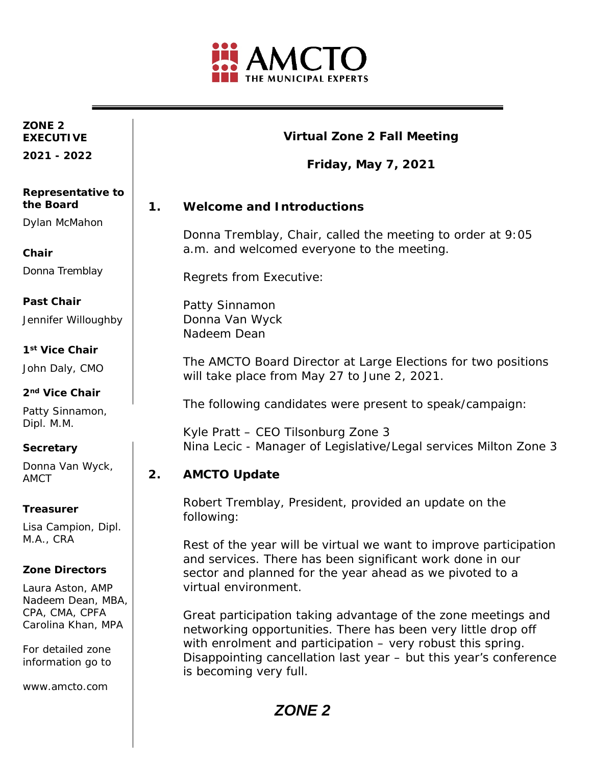

#### **ZONE 2 EXECUTIVE**

**2021 - 2022**

#### **Virtual Zone 2 Fall Meeting**

**Friday, May 7, 2021**

#### **1. Welcome and Introductions**

Donna Tremblay, Chair, called the meeting to order at 9:05 a.m. and welcomed everyone to the meeting.

Regrets from Executive:

Patty Sinnamon Donna Van Wyck Nadeem Dean

The AMCTO Board Director at Large Elections for two positions will take place from May 27 to June 2, 2021.

The following candidates were present to speak/campaign:

Kyle Pratt – CEO Tilsonburg Zone 3 Nina Lecic - Manager of Legislative/Legal services Milton Zone 3

#### **2. AMCTO Update**

Robert Tremblay, President, provided an update on the following:

Rest of the year will be virtual we want to improve participation and services. There has been significant work done in our sector and planned for the year ahead as we pivoted to a virtual environment.

Great participation taking advantage of the zone meetings and networking opportunities. There has been very little drop off with enrolment and participation – very robust this spring. Disappointing cancellation last year – but this year's conference is becoming very full.

# **the Board**  Dylan McMahon

**Representative to** 

**Chair**

Donna Tremblay

#### **Past Chair**

Jennifer Willoughby

#### **1st Vice Chair**

John Daly, CMO

#### **2nd Vice Chair**

Patty Sinnamon, Dipl. M.M.

#### **Secretary**

Donna Van Wyck, AMCT

#### **Treasurer**

Lisa Campion, Dipl. M.A., CRA

#### **Zone Directors**

Laura Aston, AMP Nadeem Dean, MBA, CPA, CMA, CPFA Carolina Khan, MPA

For detailed zone information go to

www.amcto.com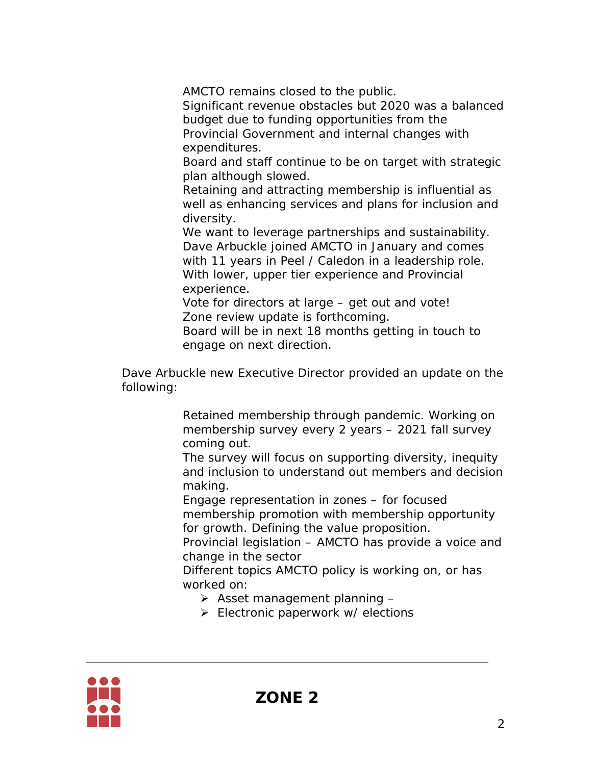AMCTO remains closed to the public.

Significant revenue obstacles but 2020 was a balanced budget due to funding opportunities from the Provincial Government and internal changes with expenditures.

Board and staff continue to be on target with strategic plan although slowed.

Retaining and attracting membership is influential as well as enhancing services and plans for inclusion and diversity.

We want to leverage partnerships and sustainability. Dave Arbuckle joined AMCTO in January and comes with 11 years in Peel / Caledon in a leadership role. With lower, upper tier experience and Provincial experience.

Vote for directors at large – get out and vote! Zone review update is forthcoming.

Board will be in next 18 months getting in touch to engage on next direction.

Dave Arbuckle new Executive Director provided an update on the following:

> Retained membership through pandemic. Working on membership survey every 2 years – 2021 fall survey coming out.

The survey will focus on supporting diversity, inequity and inclusion to understand out members and decision making.

Engage representation in zones – for focused membership promotion with membership opportunity for growth. Defining the value proposition.

Provincial legislation – AMCTO has provide a voice and change in the sector

Different topics AMCTO policy is working on, or has worked on:

- $\triangleright$  Asset management planning -
- $\triangleright$  Electronic paperwork w/ elections

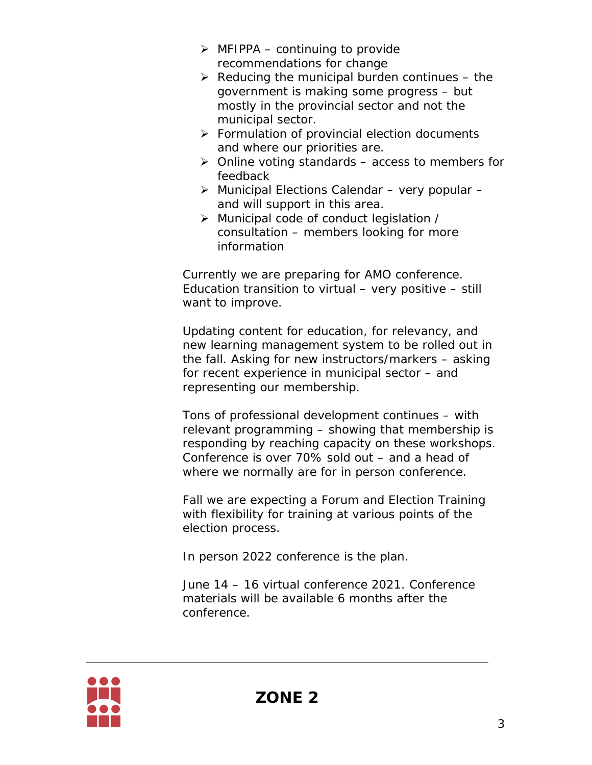- $\triangleright$  MFIPPA continuing to provide recommendations for change
- $\triangleright$  Reducing the municipal burden continues the government is making some progress – but mostly in the provincial sector and not the municipal sector.
- $\triangleright$  Formulation of provincial election documents and where our priorities are.
- $\triangleright$  Online voting standards access to members for feedback
- $\triangleright$  Municipal Elections Calendar very popular and will support in this area.
- Municipal code of conduct legislation / consultation – members looking for more information

Currently we are preparing for AMO conference. Education transition to virtual – very positive – still want to improve.

Updating content for education, for relevancy, and new learning management system to be rolled out in the fall. Asking for new instructors/markers – asking for recent experience in municipal sector – and representing our membership.

Tons of professional development continues – with relevant programming – showing that membership is responding by reaching capacity on these workshops. Conference is over 70% sold out – and a head of where we normally are for in person conference.

Fall we are expecting a Forum and Election Training with flexibility for training at various points of the election process.

In person 2022 conference is the plan.

June 14 – 16 virtual conference 2021. Conference materials will be available 6 months after the conference.

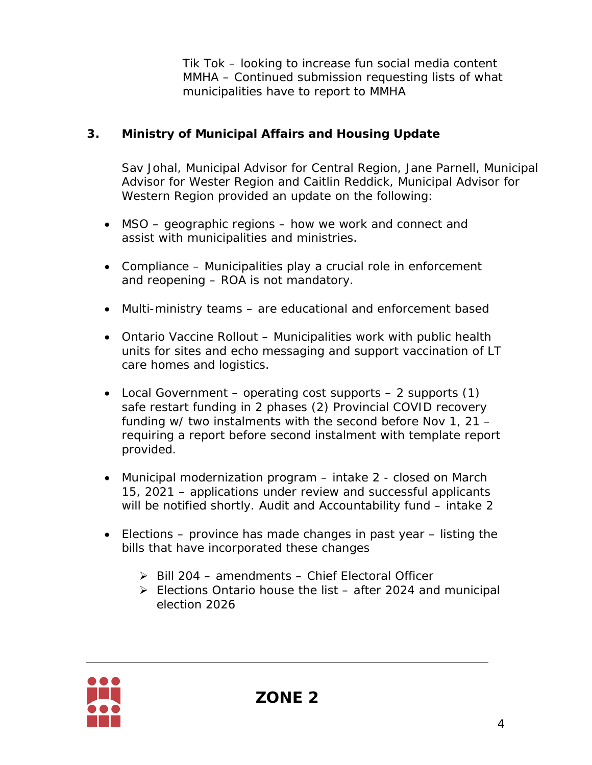Tik Tok – looking to increase fun social media content MMHA – Continued submission requesting lists of what municipalities have to report to MMHA

### **3. Ministry of Municipal Affairs and Housing Update**

Sav Johal, Municipal Advisor for Central Region, Jane Parnell, Municipal Advisor for Wester Region and Caitlin Reddick, Municipal Advisor for Western Region provided an update on the following:

- MSO geographic regions how we work and connect and assist with municipalities and ministries.
- Compliance Municipalities play a crucial role in enforcement and reopening – ROA is not mandatory.
- Multi-ministry teams are educational and enforcement based
- Ontario Vaccine Rollout Municipalities work with public health units for sites and echo messaging and support vaccination of LT care homes and logistics.
- Local Government operating cost supports 2 supports  $(1)$ safe restart funding in 2 phases (2) Provincial COVID recovery funding w/ two instalments with the second before Nov 1, 21 – requiring a report before second instalment with template report provided.
- Municipal modernization program intake 2 closed on March 15, 2021 – applications under review and successful applicants will be notified shortly. Audit and Accountability fund – intake 2
- Elections province has made changes in past year listing the bills that have incorporated these changes
	- $\triangleright$  Bill 204 amendments Chief Electoral Officer
	- $\triangleright$  Elections Ontario house the list after 2024 and municipal election 2026

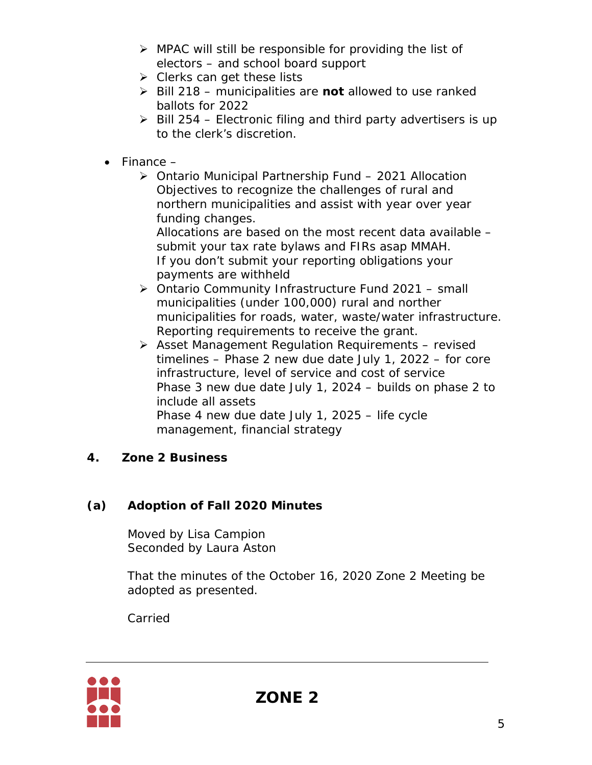- $\triangleright$  MPAC will still be responsible for providing the list of electors – and school board support
- $\triangleright$  Clerks can get these lists
- Bill 218 municipalities are **not** allowed to use ranked ballots for 2022
- $\triangleright$  Bill 254 Electronic filing and third party advertisers is up to the clerk's discretion.
- $\bullet$  Finance  $-$ 
	- Ontario Municipal Partnership Fund 2021 Allocation Objectives to recognize the challenges of rural and northern municipalities and assist with year over year funding changes.

Allocations are based on the most recent data available – submit your tax rate bylaws and FIRs asap MMAH. If you don't submit your reporting obligations your payments are withheld

- Ontario Community Infrastructure Fund 2021 small municipalities (under 100,000) rural and norther municipalities for roads, water, waste/water infrastructure. Reporting requirements to receive the grant.
- $\triangleright$  Asset Management Regulation Requirements revised timelines – Phase 2 new due date July 1, 2022 – for core infrastructure, level of service and cost of service Phase 3 new due date July 1, 2024 – builds on phase 2 to include all assets Phase 4 new due date July 1, 2025 – life cycle management, financial strategy

## **4. Zone 2 Business**

# **(a) Adoption of Fall 2020 Minutes**

Moved by Lisa Campion Seconded by Laura Aston

That the minutes of the October 16, 2020 Zone 2 Meeting be adopted as presented.

Carried

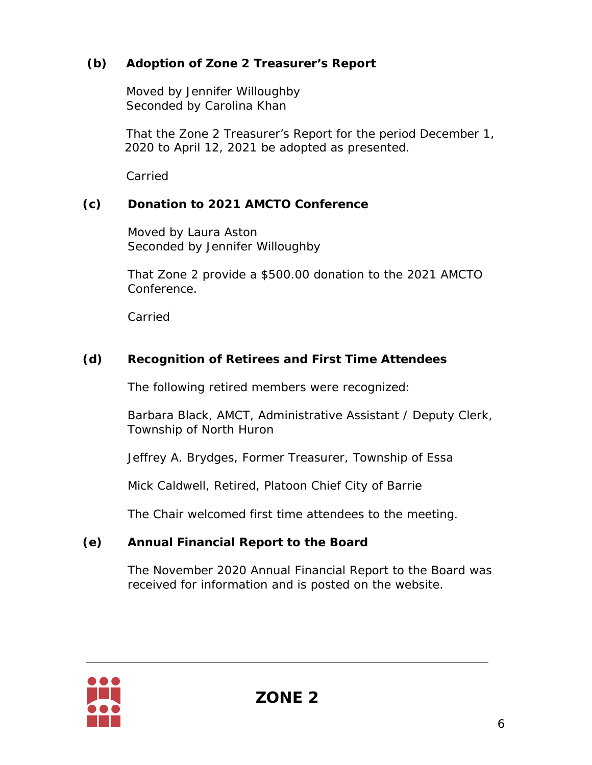## **(b) Adoption of Zone 2 Treasurer's Report**

Moved by Jennifer Willoughby Seconded by Carolina Khan

That the Zone 2 Treasurer's Report for the period December 1, 2020 to April 12, 2021 be adopted as presented.

Carried

## **(c) Donation to 2021 AMCTO Conference**

Moved by Laura Aston Seconded by Jennifer Willoughby

That Zone 2 provide a \$500.00 donation to the 2021 AMCTO Conference.

Carried

# **(d) Recognition of Retirees and First Time Attendees**

The following retired members were recognized:

Barbara Black, AMCT, Administrative Assistant / Deputy Clerk, Township of North Huron

Jeffrey A. Brydges, Former Treasurer, Township of Essa

Mick Caldwell, Retired, Platoon Chief City of Barrie

The Chair welcomed first time attendees to the meeting.

## **(e) Annual Financial Report to the Board**

The November 2020 Annual Financial Report to the Board was received for information and is posted on the website.

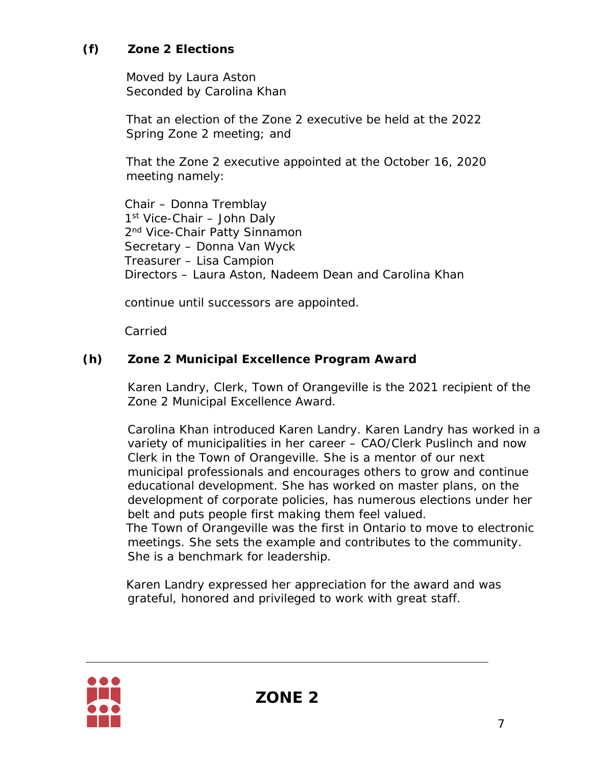## **(f) Zone 2 Elections**

Moved by Laura Aston Seconded by Carolina Khan

That an election of the Zone 2 executive be held at the 2022 Spring Zone 2 meeting; and

That the Zone 2 executive appointed at the October 16, 2020 meeting namely:

Chair – Donna Tremblay 1<sup>st</sup> Vice-Chair – John Daly 2<sup>nd</sup> Vice-Chair Patty Sinnamon Secretary – Donna Van Wyck Treasurer – Lisa Campion Directors – Laura Aston, Nadeem Dean and Carolina Khan

continue until successors are appointed.

Carried

#### **(h) Zone 2 Municipal Excellence Program Award**

Karen Landry, Clerk, Town of Orangeville is the 2021 recipient of the Zone 2 Municipal Excellence Award.

Carolina Khan introduced Karen Landry. Karen Landry has worked in a variety of municipalities in her career – CAO/Clerk Puslinch and now Clerk in the Town of Orangeville. She is a mentor of our next municipal professionals and encourages others to grow and continue educational development. She has worked on master plans, on the development of corporate policies, has numerous elections under her belt and puts people first making them feel valued. The Town of Orangeville was the first in Ontario to move to electronic meetings. She sets the example and contributes to the community.

She is a benchmark for leadership.

Karen Landry expressed her appreciation for the award and was grateful, honored and privileged to work with great staff.

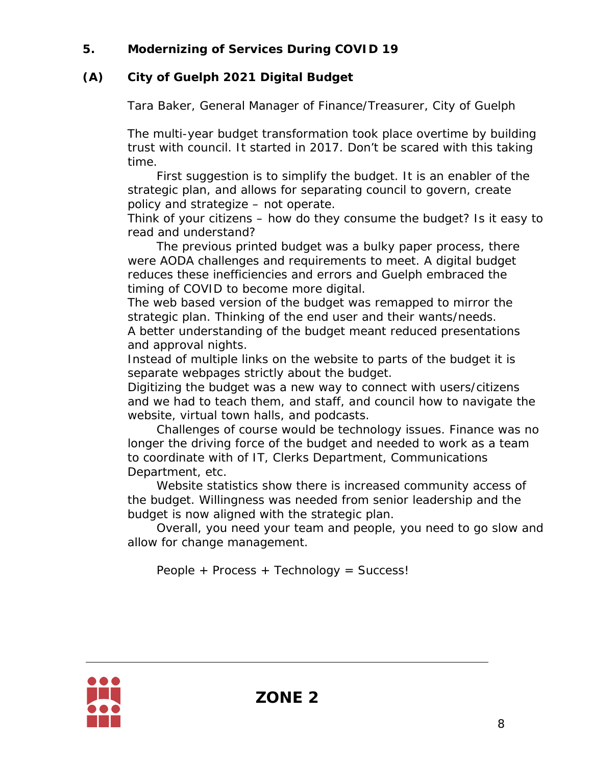### **5. Modernizing of Services During COVID 19**

### **(A) City of Guelph 2021 Digital Budget**

Tara Baker, General Manager of Finance/Treasurer, City of Guelph

The multi-year budget transformation took place overtime by building trust with council. It started in 2017. Don't be scared with this taking time.

First suggestion is to simplify the budget. It is an enabler of the strategic plan, and allows for separating council to govern, create policy and strategize – not operate.

Think of your citizens – how do they consume the budget? Is it easy to read and understand?

The previous printed budget was a bulky paper process, there were AODA challenges and requirements to meet. A digital budget reduces these inefficiencies and errors and Guelph embraced the timing of COVID to become more digital.

The web based version of the budget was remapped to mirror the strategic plan. Thinking of the end user and their wants/needs. A better understanding of the budget meant reduced presentations and approval nights.

Instead of multiple links on the website to parts of the budget it is separate webpages strictly about the budget.

Digitizing the budget was a new way to connect with users/citizens and we had to teach them, and staff, and council how to navigate the website, virtual town halls, and podcasts.

Challenges of course would be technology issues. Finance was no longer the driving force of the budget and needed to work as a team to coordinate with of IT, Clerks Department, Communications Department, etc.

Website statistics show there is increased community access of the budget. Willingness was needed from senior leadership and the budget is now aligned with the strategic plan.

Overall, you need your team and people, you need to go slow and allow for change management.

People + Process + Technology = Success!

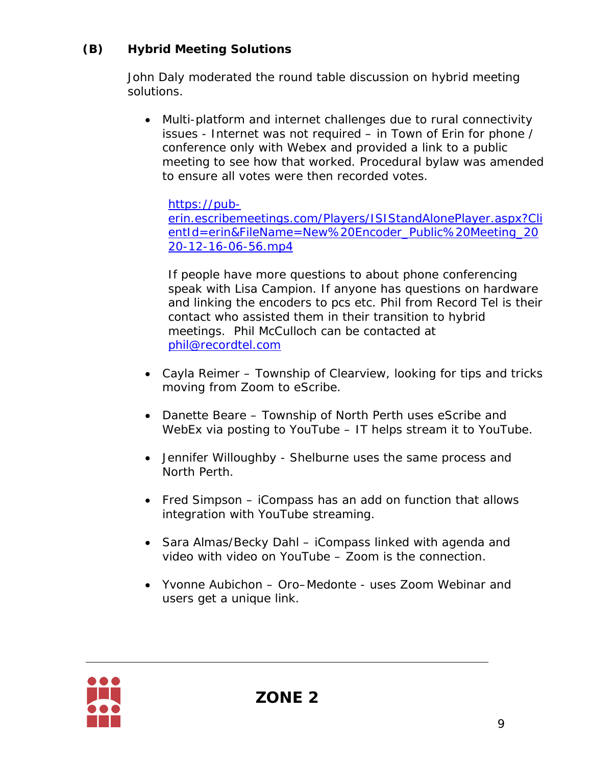# **(B) Hybrid Meeting Solutions**

John Daly moderated the round table discussion on hybrid meeting solutions.

• Multi-platform and internet challenges due to rural connectivity issues - Internet was not required – in Town of Erin for phone / conference only with Webex and provided a link to a public meeting to see how that worked. Procedural bylaw was amended to ensure all votes were then recorded votes.

[https://pub-](https://pub-erin.escribemeetings.com/Players/ISIStandAlonePlayer.aspx?ClientId=erin&FileName=New%20Encoder_Public%20Meeting_2020-12-16-06-56.mp4)

[erin.escribemeetings.com/Players/ISIStandAlonePlayer.aspx?Cli](https://pub-erin.escribemeetings.com/Players/ISIStandAlonePlayer.aspx?ClientId=erin&FileName=New%20Encoder_Public%20Meeting_2020-12-16-06-56.mp4) [entId=erin&FileName=New%20Encoder\\_Public%20Meeting\\_20](https://pub-erin.escribemeetings.com/Players/ISIStandAlonePlayer.aspx?ClientId=erin&FileName=New%20Encoder_Public%20Meeting_2020-12-16-06-56.mp4) [20-12-16-06-56.mp4](https://pub-erin.escribemeetings.com/Players/ISIStandAlonePlayer.aspx?ClientId=erin&FileName=New%20Encoder_Public%20Meeting_2020-12-16-06-56.mp4)

If people have more questions to about phone conferencing speak with Lisa Campion. If anyone has questions on hardware and linking the encoders to pcs etc. Phil from Record Tel is their contact who assisted them in their transition to hybrid meetings. Phil McCulloch can be contacted at [phil@recordtel.com](mailto:phil@recordtel.com)

- Cayla Reimer Township of Clearview, looking for tips and tricks moving from Zoom to eScribe.
- Danette Beare Township of North Perth uses eScribe and WebEx via posting to YouTube – IT helps stream it to YouTube.
- Jennifer Willoughby Shelburne uses the same process and North Perth.
- Fred Simpson iCompass has an add on function that allows integration with YouTube streaming.
- Sara Almas/Becky Dahl iCompass linked with agenda and video with video on YouTube – Zoom is the connection.
- Yvonne Aubichon Oro–Medonte uses Zoom Webinar and users get a unique link.

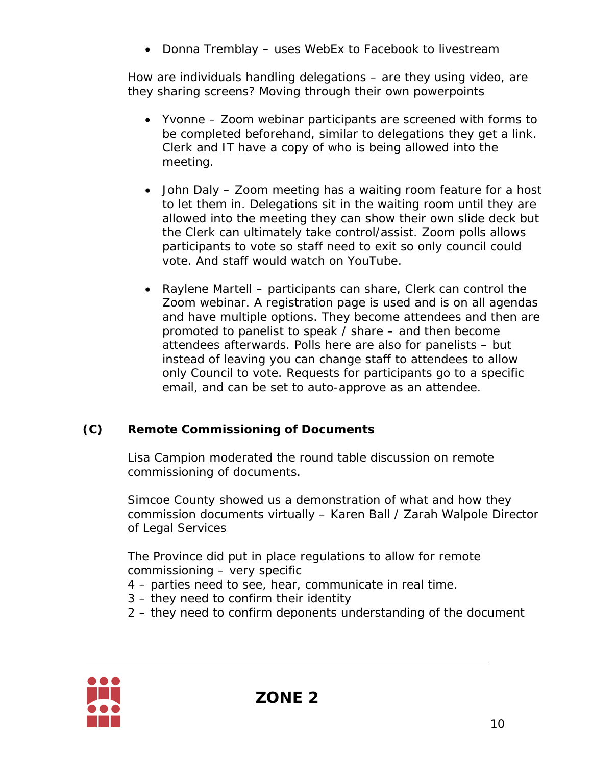• Donna Tremblay – uses WebEx to Facebook to livestream

How are individuals handling delegations – are they using video, are they sharing screens? Moving through their own powerpoints

- Yvonne Zoom webinar participants are screened with forms to be completed beforehand, similar to delegations they get a link. Clerk and IT have a copy of who is being allowed into the meeting.
- John Daly Zoom meeting has a waiting room feature for a host to let them in. Delegations sit in the waiting room until they are allowed into the meeting they can show their own slide deck but the Clerk can ultimately take control/assist. Zoom polls allows participants to vote so staff need to exit so only council could vote. And staff would watch on YouTube.
- Raylene Martell participants can share, Clerk can control the Zoom webinar. A registration page is used and is on all agendas and have multiple options. They become attendees and then are promoted to panelist to speak / share – and then become attendees afterwards. Polls here are also for panelists – but instead of leaving you can change staff to attendees to allow only Council to vote. Requests for participants go to a specific email, and can be set to auto-approve as an attendee.

## **(C) Remote Commissioning of Documents**

Lisa Campion moderated the round table discussion on remote commissioning of documents.

Simcoe County showed us a demonstration of what and how they commission documents virtually – Karen Ball / Zarah Walpole Director of Legal Services

The Province did put in place regulations to allow for remote commissioning – very specific

- 4 parties need to see, hear, communicate in real time.
- 3 they need to confirm their identity
- 2 they need to confirm deponents understanding of the document

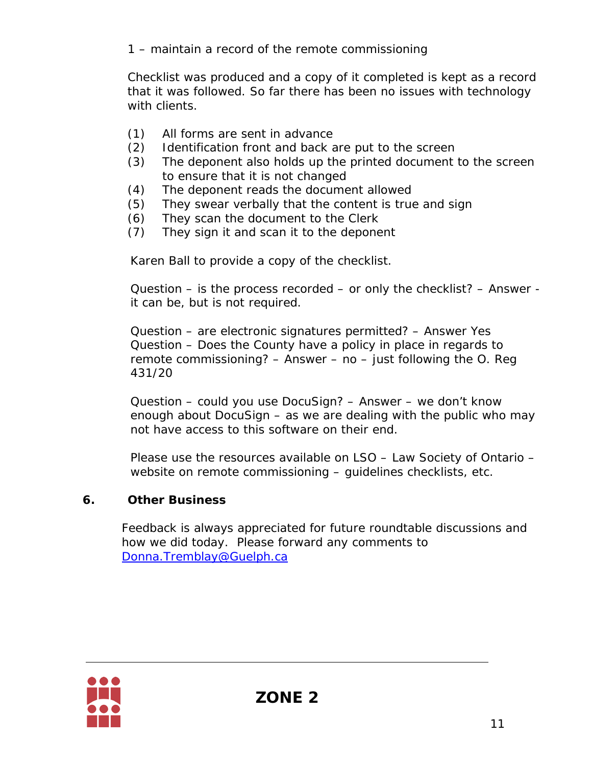1 – maintain a record of the remote commissioning

Checklist was produced and a copy of it completed is kept as a record that it was followed. So far there has been no issues with technology with clients.

- (1) All forms are sent in advance
- (2) Identification front and back are put to the screen
- (3) The deponent also holds up the printed document to the screen to ensure that it is not changed
- (4) The deponent reads the document allowed
- (5) They swear verbally that the content is true and sign
- (6) They scan the document to the Clerk
- (7) They sign it and scan it to the deponent

Karen Ball to provide a copy of the checklist.

Question – is the process recorded – or only the checklist? – Answer it can be, but is not required.

Question – are electronic signatures permitted? – Answer Yes Question – Does the County have a policy in place in regards to remote commissioning? – Answer – no – just following the O. Reg 431/20

Question – could you use DocuSign? – Answer – we don't know enough about DocuSign – as we are dealing with the public who may not have access to this software on their end.

Please use the resources available on LSO – Law Society of Ontario – website on remote commissioning – guidelines checklists, etc.

## **6. Other Business**

Feedback is always appreciated for future roundtable discussions and how we did today. Please forward any comments to [Donna.Tremblay@Guelph.ca](mailto:Donna.Tremblay@Guelph.ca)